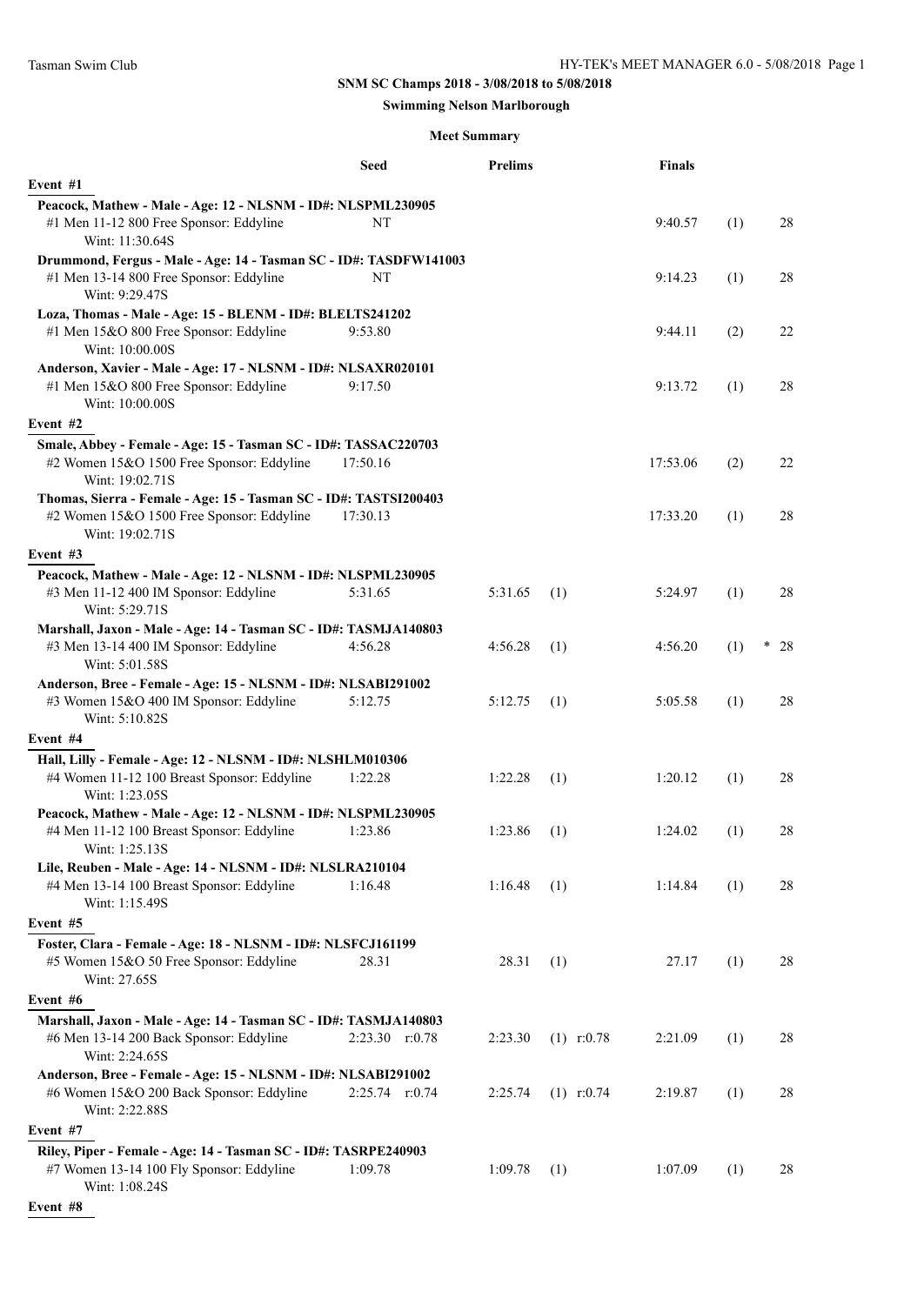# **SNM SC Champs 2018 - 3/08/2018 to 5/08/2018**

## **Swimming Nelson Marlborough**

## **Meet Summary**

|                                                                                                                         | Seed               | <b>Prelims</b> |              | <b>Finals</b> |     |         |
|-------------------------------------------------------------------------------------------------------------------------|--------------------|----------------|--------------|---------------|-----|---------|
| Event #1                                                                                                                |                    |                |              |               |     |         |
| Peacock, Mathew - Male - Age: 12 - NLSNM - ID#: NLSPML230905                                                            |                    |                |              |               |     |         |
| #1 Men 11-12 800 Free Sponsor: Eddyline<br>Wint: 11:30.64S                                                              | NT                 |                |              | 9:40.57       | (1) | 28      |
| Drummond, Fergus - Male - Age: 14 - Tasman SC - ID#: TASDFW141003                                                       |                    |                |              |               |     |         |
| #1 Men 13-14 800 Free Sponsor: Eddyline<br>Wint: 9:29.47S                                                               | NT                 |                |              | 9:14.23       | (1) | 28      |
| Loza, Thomas - Male - Age: 15 - BLENM - ID#: BLELTS241202                                                               |                    |                |              |               |     |         |
| #1 Men 15&O 800 Free Sponsor: Eddyline<br>Wint: 10:00.00S                                                               | 9:53.80            |                |              | 9:44.11       | (2) | 22      |
| Anderson, Xavier - Male - Age: 17 - NLSNM - ID#: NLSAXR020101                                                           |                    |                |              |               |     |         |
| #1 Men 15&O 800 Free Sponsor: Eddyline<br>Wint: 10:00.00S                                                               | 9:17.50            |                |              | 9:13.72       | (1) | 28      |
| Event #2                                                                                                                |                    |                |              |               |     |         |
| Smale, Abbey - Female - Age: 15 - Tasman SC - ID#: TASSAC220703<br>#2 Women 15&O 1500 Free Sponsor: Eddyline            | 17:50.16           |                |              | 17:53.06      | (2) | 22      |
| Wint: 19:02.71S<br>Thomas, Sierra - Female - Age: 15 - Tasman SC - ID#: TASTSI200403                                    |                    |                |              |               |     |         |
| #2 Women 15&O 1500 Free Sponsor: Eddyline<br>Wint: 19:02.71S                                                            | 17:30.13           |                |              | 17:33.20      | (1) | 28      |
| Event #3                                                                                                                |                    |                |              |               |     |         |
| Peacock, Mathew - Male - Age: 12 - NLSNM - ID#: NLSPML230905                                                            |                    |                |              |               |     |         |
| #3 Men 11-12 400 IM Sponsor: Eddyline<br>Wint: 5:29.71S                                                                 | 5:31.65            | 5:31.65        | (1)          | 5:24.97       | (1) | 28      |
| Marshall, Jaxon - Male - Age: 14 - Tasman SC - ID#: TASMJA140803                                                        |                    |                |              |               |     |         |
| #3 Men 13-14 400 IM Sponsor: Eddyline<br>Wint: 5:01.58S                                                                 | 4:56.28            | 4:56.28        | (1)          | 4:56.20       | (1) | ÷<br>28 |
| Anderson, Bree - Female - Age: 15 - NLSNM - ID#: NLSABI291002                                                           |                    |                |              |               |     |         |
| #3 Women 15&O 400 IM Sponsor: Eddyline<br>Wint: 5:10.82S                                                                | 5:12.75            | 5:12.75        | (1)          | 5:05.58       | (1) | 28      |
| Event #4                                                                                                                |                    |                |              |               |     |         |
| Hall, Lilly - Female - Age: 12 - NLSNM - ID#: NLSHLM010306                                                              |                    |                |              |               |     |         |
| #4 Women 11-12 100 Breast Sponsor: Eddyline<br>Wint: 1:23.05S                                                           | 1:22.28            | 1:22.28        | (1)          | 1:20.12       | (1) | 28      |
| Peacock, Mathew - Male - Age: 12 - NLSNM - ID#: NLSPML230905                                                            |                    |                |              |               |     |         |
| #4 Men 11-12 100 Breast Sponsor: Eddyline<br>Wint: 1:25.13S                                                             | 1:23.86            | 1:23.86        | (1)          | 1:24.02       | (1) | 28      |
| Lile, Reuben - Male - Age: 14 - NLSNM - ID#: NLSLRA210104                                                               |                    |                |              |               |     |         |
| #4 Men 13-14 100 Breast Sponsor: Eddyline<br>Wint: 1:15.49S                                                             | 1:16.48            | 1:16.48        | (1)          | 1:14.84       | (1) | 28      |
| Event #5                                                                                                                |                    |                |              |               |     |         |
| Foster, Clara - Female - Age: 18 - NLSNM - ID#: NLSFCJ161199<br>#5 Women 15&O 50 Free Sponsor: Eddyline<br>Wint: 27.65S | 28.31              | 28.31          | (1)          | 27.17         | (1) | 28      |
| Event #6                                                                                                                |                    |                |              |               |     |         |
| Marshall, Jaxon - Male - Age: 14 - Tasman SC - ID#: TASMJA140803                                                        |                    |                |              |               |     |         |
| #6 Men 13-14 200 Back Sponsor: Eddyline<br>Wint: 2:24.65S                                                               | $2:23.30$ $r:0.78$ | 2:23.30        | $(1)$ r:0.78 | 2:21.09       | (1) | 28      |
| Anderson, Bree - Female - Age: 15 - NLSNM - ID#: NLSABI291002                                                           |                    |                |              |               |     |         |
| #6 Women 15&O 200 Back Sponsor: Eddyline<br>Wint: 2:22.88S                                                              | $2:25.74$ $r:0.74$ | 2:25.74        | $(1)$ r:0.74 | 2:19.87       | (1) | 28      |
| Event #7                                                                                                                |                    |                |              |               |     |         |
| Riley, Piper - Female - Age: 14 - Tasman SC - ID#: TASRPE240903                                                         |                    |                |              |               |     |         |
| #7 Women 13-14 100 Fly Sponsor: Eddyline<br>Wint: 1:08.24S                                                              | 1:09.78            | 1:09.78        | (1)          | 1:07.09       | (1) | 28      |

**Event #8**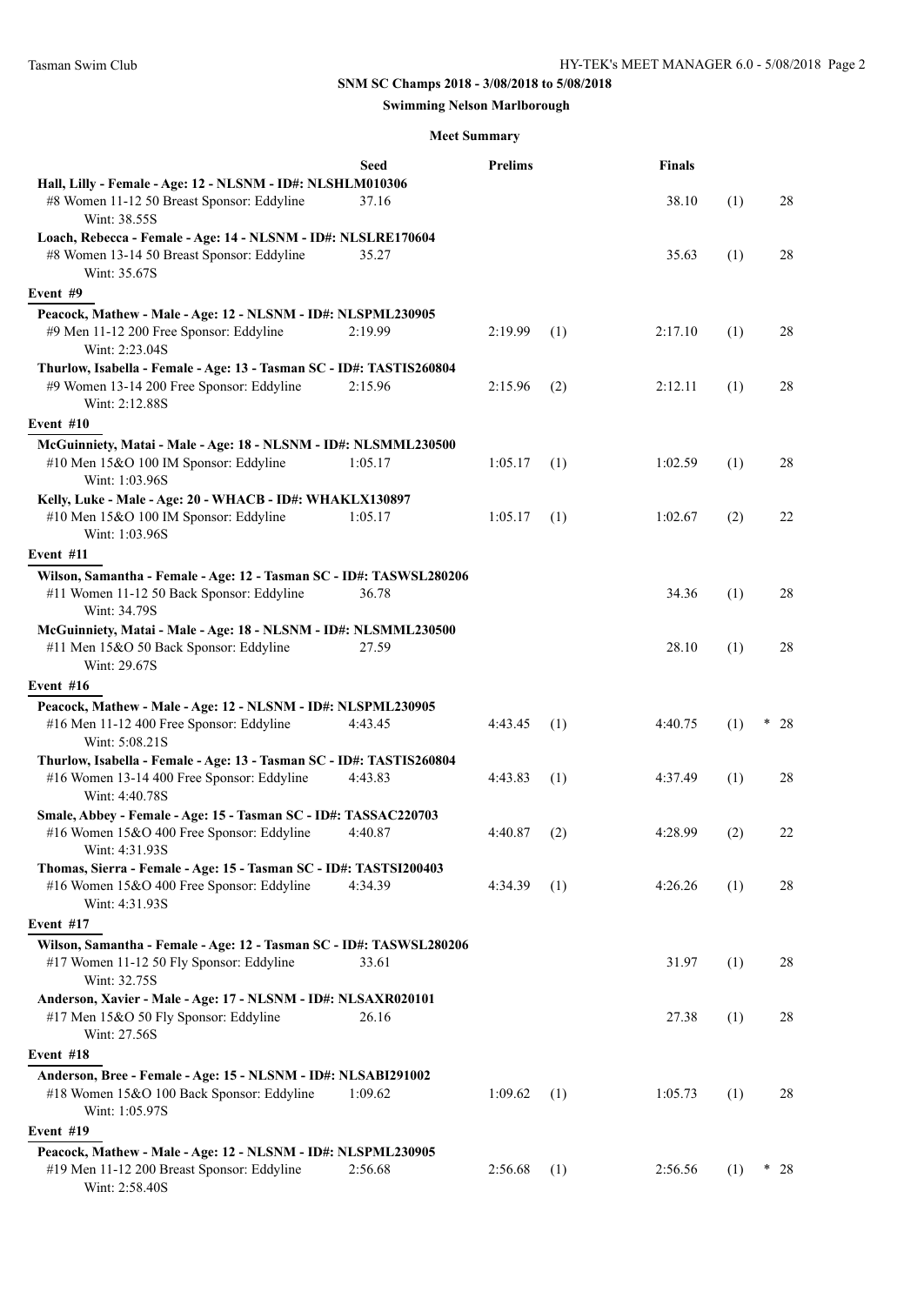# **SNM SC Champs 2018 - 3/08/2018 to 5/08/2018**

## **Swimming Nelson Marlborough**

## **Meet Summary**

|                                                                                                                                      | <b>Seed</b> | <b>Prelims</b> |     | <b>Finals</b> |     |          |
|--------------------------------------------------------------------------------------------------------------------------------------|-------------|----------------|-----|---------------|-----|----------|
| Hall, Lilly - Female - Age: 12 - NLSNM - ID#: NLSHLM010306<br>#8 Women 11-12 50 Breast Sponsor: Eddyline<br>Wint: 38.55S             | 37.16       |                |     | 38.10         | (1) | 28       |
| Loach, Rebecca - Female - Age: 14 - NLSNM - ID#: NLSLRE170604<br>#8 Women 13-14 50 Breast Sponsor: Eddyline<br>Wint: 35.67S          | 35.27       |                |     | 35.63         | (1) | 28       |
| Event #9                                                                                                                             |             |                |     |               |     |          |
| Peacock, Mathew - Male - Age: 12 - NLSNM - ID#: NLSPML230905<br>#9 Men 11-12 200 Free Sponsor: Eddyline<br>Wint: 2:23.04S            | 2:19.99     | 2:19.99        | (1) | 2:17.10       | (1) | 28       |
| Thurlow, Isabella - Female - Age: 13 - Tasman SC - ID#: TASTIS260804<br>#9 Women 13-14 200 Free Sponsor: Eddyline<br>Wint: 2:12.88S  | 2:15.96     | 2:15.96        | (2) | 2:12.11       | (1) | 28       |
| Event #10                                                                                                                            |             |                |     |               |     |          |
| McGuinniety, Matai - Male - Age: 18 - NLSNM - ID#: NLSMML230500<br>#10 Men 15&O 100 IM Sponsor: Eddyline<br>Wint: 1:03.96S           | 1:05.17     | 1:05.17        | (1) | 1:02.59       | (1) | 28       |
| Kelly, Luke - Male - Age: 20 - WHACB - ID#: WHAKLX130897<br>#10 Men 15&O 100 IM Sponsor: Eddyline<br>Wint: 1:03.96S                  | 1:05.17     | 1:05.17        | (1) | 1:02.67       | (2) | 22       |
| Event #11                                                                                                                            |             |                |     |               |     |          |
| Wilson, Samantha - Female - Age: 12 - Tasman SC - ID#: TASWSL280206<br>#11 Women 11-12 50 Back Sponsor: Eddyline<br>Wint: 34.79S     | 36.78       |                |     | 34.36         | (1) | 28       |
| McGuinniety, Matai - Male - Age: 18 - NLSNM - ID#: NLSMML230500<br>#11 Men 15&O 50 Back Sponsor: Eddyline<br>Wint: 29.67S            | 27.59       |                |     | 28.10         | (1) | 28       |
| Event #16                                                                                                                            |             |                |     |               |     |          |
| Peacock, Mathew - Male - Age: 12 - NLSNM - ID#: NLSPML230905<br>#16 Men 11-12 400 Free Sponsor: Eddyline<br>Wint: 5:08.21S           | 4:43.45     | 4:43.45        | (1) | 4:40.75       | (1) | ×<br>28  |
| Thurlow, Isabella - Female - Age: 13 - Tasman SC - ID#: TASTIS260804<br>#16 Women 13-14 400 Free Sponsor: Eddyline<br>Wint: 4:40.78S | 4:43.83     | 4:43.83        | (1) | 4:37.49       | (1) | 28       |
| Smale, Abbey - Female - Age: 15 - Tasman SC - ID#: TASSAC220703<br>#16 Women 15&O 400 Free Sponsor: Eddyline<br>Wint: 4:31.93S       | 4:40.87     | 4:40.87        | (2) | 4:28.99       | (2) | 22       |
| Thomas, Sierra - Female - Age: 15 - Tasman SC - ID#: TASTSI200403<br>#16 Women 15&O 400 Free Sponsor: Eddyline<br>Wint: 4:31.93S     | 4:34.39     | 4:34.39        | (1) | 4:26.26       | (1) | 28       |
| Event #17                                                                                                                            |             |                |     |               |     |          |
| Wilson, Samantha - Female - Age: 12 - Tasman SC - ID#: TASWSL280206<br>#17 Women 11-12 50 Fly Sponsor: Eddyline<br>Wint: 32.75S      | 33.61       |                |     | 31.97         | (1) | 28       |
| Anderson, Xavier - Male - Age: 17 - NLSNM - ID#: NLSAXR020101<br>#17 Men 15&O 50 Fly Sponsor: Eddyline<br>Wint: 27.56S               | 26.16       |                |     | 27.38         | (1) | 28       |
| Event #18                                                                                                                            |             |                |     |               |     |          |
| Anderson, Bree - Female - Age: 15 - NLSNM - ID#: NLSABI291002<br>#18 Women 15&O 100 Back Sponsor: Eddyline<br>Wint: 1:05.97S         | 1:09.62     | 1:09.62        | (1) | 1:05.73       | (1) | 28       |
| Event #19                                                                                                                            |             |                |     |               |     |          |
| Peacock, Mathew - Male - Age: 12 - NLSNM - ID#: NLSPML230905<br>#19 Men 11-12 200 Breast Sponsor: Eddyline<br>Wint: 2:58.40S         | 2:56.68     | 2:56.68        | (1) | 2:56.56       | (1) | *.<br>28 |